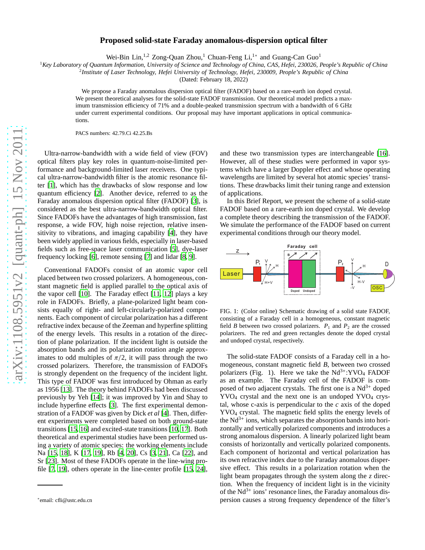## $arXiv:1108.5951v2$  [quant-ph] 15 Nov 2011 [arXiv:1108.5951v2 \[quant-ph\] 15 Nov 2011](http://arxiv.org/abs/1108.5951v2)

## **Proposed solid-state Faraday anomalous-dispersion optical filter**

Wei-Bin Lin,<sup>1,2</sup> Zong-Quan Zhou,<sup>1</sup> Chuan-Feng Li,<sup>1</sup>\* and Guang-Can Guo<sup>1</sup>

<sup>1</sup>*Key Laboratory of Quantum Information, University of Science and Technology of China, CAS, Hefei, 230026, People's Republic of China*

2 *Institute of Laser Technology, Hefei University of Technology, Hefei, 230009, People's Republic of China*

(Dated: February 18, 2022)

We propose a Faraday anomalous dispersion optical filter (FADOF) based on a rare-earth ion doped crystal. We present theoretical analyses for the solid-state FADOF transmission. Our theoretical model predicts a maximum transmission efficiency of 71% and a double-peaked transmission spectrum with a bandwidth of 6 GHz under current experimental conditions. Our proposal may have important applications in optical communications.

PACS numbers: 42.79.Ci 42.25.Bs

Ultra-narrow-bandwidth with a wide field of view (FOV) optical filters play key roles in quantum-noise-limited performance and background-limited laser receivers. One typical ultra-narrow-bandwidth filter is the atomic resonance filter [\[1\]](#page-3-0), which has the drawbacks of slow response and low quantum efficiency [\[2\]](#page-3-1). Another device, referred to as the Faraday anomalous dispersion optical filter (FADOF) [\[3](#page-3-2)], is considered as the best ultra-narrow-bandwidth optical filter. Since FADOFs have the advantages of high transmission, fast response, a wide FOV, high noise rejection, relative insensitivity to vibrations, and imaging capability [\[4\]](#page-3-3), they have been widely applied in various fields, especially in laser-based fields such as free-space laser communication [5], dye-laser frequency locking [\[6\]](#page-3-4), remote sensing [\[7\]](#page-3-5) and lidar [8, 9].

Conventional FADOFs consist of an atomic vapor cell placed between two crossed polarizers. A homogeneous, constant magnetic field is applied parallel to the optical axis of the vapor cell [10]. The Faraday effect [11, 12] plays a key role in FADOFs. Briefly, a plane-polarized light beam consists equally of right- and left-circularly-polarized components. Each component of circular polarization has a different refractive index because of the Zeeman and hyperfine splitting of the energy levels. This results in a rotation of the direction of plane polarization. If the incident light is outside the absorption bands and its polarization rotation angle approximates to odd multiples of  $\pi/2$ , it will pass through the two crossed polarizers. Therefore, the transmission of FADOFs is strongly dependent on the frequency of the incident light. This type of FADOF was first introduced by Ohman as early as 1956 [\[13\]](#page-3-6). The theory behind FADOFs had been discussed previously by Yeh [\[14\]](#page-3-7); it was improved by Yin and Shay to include hyperfine effects [\[3\]](#page-3-2). The first experimental demonstration of a FADOF was given by Dick *et al* [\[4\]](#page-3-3). Then, different experiments were completed based on both ground-state transitions [\[15,](#page-3-8) 16] and excited-state transitions [10, [17\]](#page-3-9). Both theoretical and experimental studies have been performed using a variety of atomic species: the working elements include Na [\[15,](#page-3-8) [18\]](#page-3-10), K [\[17,](#page-3-9) [19\]](#page-3-11), Rb [\[4](#page-3-3), 20], Cs [\[3,](#page-3-2) [21](#page-3-12)], Ca [\[22\]](#page-3-13), and Sr [\[23\]](#page-3-14). Most of these FADOFs operate in the line-wing profile [\[7](#page-3-5), [19\]](#page-3-11), others operate in the line-center profile [\[15,](#page-3-8) 24],

and these two transmission types are interchangeable [16]. However, all of these studies were performed in vapor systems which have a larger Doppler effect and whose operating wavelengths are limited by several hot atomic species' transitions. These drawbacks limit their tuning range and extension of applications.

In this Brief Report, we present the scheme of a solid-state FADOF based on a rare-earth ion doped crystal. We develop a complete theory describing the transmission of the FADOF. We simulate the performance of the FADOF based on current experimental conditions through our theory model.



FIG. 1: (Color online) Schematic drawing of a solid state FADOF, consisting of a Faraday cell in a homogeneous, constant magnetic field *B* between two crossed polarizers.  $P_1$  and  $P_2$  are the crossed polarizers. The red and green rectangles denote the doped crystal and undoped crystal, respectively.

The solid-state FADOF consists of a Faraday cell in a homogeneous, constant magnetic field *B*, between two crossed polarizers (Fig. 1). Here we take the  $Nd^{3+}$ :YVO<sub>4</sub> FADOF as an example. The Faraday cell of the FADOF is composed of two adjacent crystals. The first one is a  $Nd^{3+}$  doped  $YVO<sub>4</sub>$  crystal and the next one is an undoped  $YVO<sub>4</sub>$  crystal, whose c-axis is perpendicular to the *c* axis of the doped YVO<sup>4</sup> crystal. The magnetic field splits the energy levels of the  $Nd^{3+}$  ions, which separates the absorption bands into horizontally and vertically polarized components and introduces a strong anomalous dispersion. A linearly polarized light beam consists of horizontally and vertically polarized components. Each component of horizontal and vertical polarization has its own refractive index due to the Faraday anomalous dispersive effect. This results in a polarization rotation when the light beam propagates through the system along the *z* direction. When the frequency of incident light is in the vicinity of the  $Nd^{3+}$  ions' resonance lines, the Faraday anomalous dispersion causes a strong frequency dependence of the filter's

<sup>∗</sup> email: cfli@ustc.edu.cn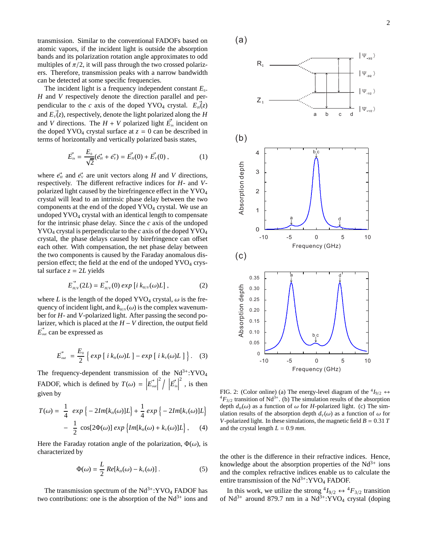transmission. Similar to the conventional FADOFs based on atomic vapors, if the incident light is outside the absorption bands and its polarization rotation angle approximates to odd multiples of  $\pi/2$ , it will pass through the two crossed polarizers. Therefore, transmission peaks with a narrow bandwidth can be detected at some specific frequencies.

The incident light is a frequency independent constant  $E_0$ . *H* and *V* respectively denote the direction parallel and perpendicular to the *c* axis of the doped YVO<sub>4</sub> crystal.  $E_{H}(z)$ and  $E_{\nu}(z)$ , respectively, denote the light polarized along the *H* and *V* directions. The  $H + V$  polarized light  $\vec{E}_{in}$  incident on the doped YVO<sub>4</sub> crystal surface at  $z = 0$  can be described in terms of horizontally and vertically polarized basis states,

$$
\vec{E_{in}} = \frac{E_0}{\sqrt{2}} (\vec{e_{H}} + \vec{e_{V}}) = \vec{E_{H}}(0) + \vec{E_{V}}(0) , \qquad (1)
$$

where  $\vec{e}_H$  and  $\vec{e}_V$  are unit vectors along *H* and *V* directions, respectively. The different refractive indices for *H*- and *V*polarized light caused by the birefringence effect in the YVO<sup>4</sup> crystal will lead to an intrinsic phase delay between the two components at the end of the doped  $\text{YVO}_4$  crystal. We use an undoped YVO<sup>4</sup> crystal with an identical length to compensate for the intrinsic phase delay. Since the *c* axis of the undoped YVO<sup>4</sup> crystal is perpendicular to the *c* axis of the doped YVO<sup>4</sup> crystal, the phase delays caused by birefringence can offset each other. With compensation, the net phase delay between the two components is caused by the Faraday anomalous dispersion effect; the field at the end of the undoped  $\text{YVO}_4$  crystal surface  $z = 2L$  yields

$$
\vec{E}_{_{H/V}}(2L) = \vec{E}_{_{H/V}}(0) \exp[i k_{_{H/V}}(\omega)L], \qquad (2)
$$

where *L* is the length of the doped YVO<sub>4</sub> crystal,  $\omega$  is the frequency of incident light, and  $k_{H/V}(\omega)$  is the complex wavenumber for *H*- and *V*-polarized light. After passing the second polarizer, which is placed at the  $H$  −  $V$  direction, the output field  $\vec{E}_{out}$  can be expressed as

$$
\vec{E}_{\text{out}} = \frac{E_0}{2} \left\{ \exp \left[ i \, k_H(\omega) L \right] - \exp \left[ i \, k_V(\omega) L \right] \right\}. \tag{3}
$$

The frequency-dependent transmission of the  $Nd^{3+}$ :YVO<sub>4</sub> FADOF, which is defined by  $T(\omega) = \left| \vec{E}_{\text{out}} \right|$  $\left| \sum_{i=1}^{n} \right| \left| \vec{E}_{in} \right|$  $\frac{2}{\pi}$ , is then given by

$$
T(\omega) = \frac{1}{4} \exp \left\{-2Im[k_{H}(\omega)]L\right\} + \frac{1}{4} \exp \left\{-2Im[k_{V}(\omega)]L\right\}
$$

$$
- \frac{1}{2} \cos[2\Phi(\omega)] \exp \left\{Im[k_{H}(\omega) + k_{V}(\omega)]L\right\}, \quad (4)
$$

Here the Faraday rotation angle of the polarization,  $\Phi(\omega)$ , is characterized by

$$
\Phi(\omega) = \frac{L}{2} Re[k_{H}(\omega) - k_{V}(\omega)].
$$
\n(5)

The transmission spectrum of the  $Nd^{3+}$ :YVO<sub>4</sub> FADOF has two contributions: one is the absorption of the  $Nd^{3+}$  ions and



FIG. 2: (Color online) (a) The energy-level diagram of the  ${}^4I_{9/2} \leftrightarrow {}^4\Gamma$  ${}^{4}F_{3/2}$  transition of Nd<sup>3+</sup>. (b) The simulation results of the absorption depth  $d_H(\omega)$  as a function of  $\omega$  for *H*-polarized light. (c) The simulation results of the absorption depth  $d_v(\omega)$  as a function of  $\omega$  for *V*-polarized light. In these simulations, the magnetic field  $B = 0.31 T$ and the crystal length  $L = 0.9$  *mm*.

the other is the difference in their refractive indices. Hence, knowledge about the absorption properties of the  $Nd^{3+}$  ions and the complex refractive indices enable us to calculate the entire transmission of the  $Nd^{3+}$ : YVO<sub>4</sub> FADOF.

In this work, we utilize the strong  ${}^4I_{9/2} \leftrightarrow {}^4F_{3/2}$  transition of Nd<sup>3+</sup> around 879.7 nm in a Nd<sup>3+</sup>:YVO<sub>4</sub> crystal (doping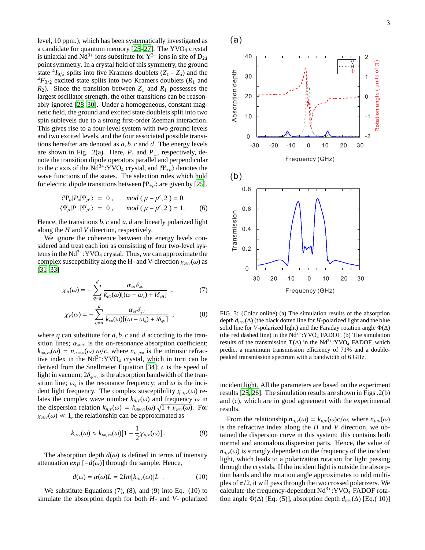level, 10 ppm.); which has been systematically investigated as a candidate for quantum memory  $[25-27]$ . The YVO<sub>4</sub> crystal is uniaxial and  $Nd^{3+}$  ions substitute for  $Y^{3+}$  ions in site of  $D_{2d}$ point symmetry. In a crystal field of this symmetry, the ground state  ${}^4I_{9/2}$  splits into five Kramers doublets ( $Z_1$  -  $Z_5$ ) and the  ${}^{4}F_{3/2}$  excited state splits into two Kramers doublets ( $R_1$  and  $R_2$ ). Since the transition between  $Z_1$  and  $R_1$  possesses the largest oscillator strength, the other transitions can be reasonably ignored [\[28](#page-3-15)[–30\]](#page-3-16). Under a homogeneous, constant magnetic field, the ground and excited state doublets split into two spin sublevels due to a strong first-order Zeeman interaction. This gives rise to a four-level system with two ground levels and two excited levels, and the four associated possible transitions hereafter are denoted as *a*, *b*, *c* and *d*. The energy levels are shown in Fig. 2(a). Here,  $P_{\parallel}$  and  $P_{\perp}$ , respectively, denote the transition dipole operators parallel and perpendicular to the *c* axis of the Nd<sup>3+</sup>:YVO<sub>4</sub> crystal, and  $|\Psi_{\pm\mu}\rangle$  denotes the wave functions of the states. The selection rules which hold for electric dipole transitions between  $|\Psi_{\pm\mu}\rangle$  are given by [25].

$$
\langle \Psi_{\mu} | P_{\shortparallel} | \Psi_{\mu'} \rangle = 0, \quad \mod (\mu - \mu', 2) = 0. \langle \Psi_{\mu} | P_{\perp} | \Psi_{\mu'} \rangle = 0, \quad \mod (\mu - \mu', 2) = 1. \n(6)
$$

Hence, the transitions *b*, *c* and *a*, *d* are linearly polarized light along the *H* and *V* direction, respectively.

We ignore the coherence between the energy levels considered and treat each ion as consisting of four two-level systems in the  $Nd^{3+}$ :YVO<sub>4</sub> crystal. Thus, we can approximate the complex susceptibility along the H- and V-direction  $\chi_{H/V}(\omega)$  as [31–33]

$$
\chi_{H}(\omega) = -\sum_{q=a}^{d} \frac{\alpha_{qH}\delta_{qH}}{k_{H0}(\omega)[(\omega - \omega_{q}) + i\delta_{qH}]} \quad , \tag{7}
$$

$$
\chi_V(\omega) = -\sum_{q=a}^d \frac{\alpha_{qV}\delta_{qV}}{k_{V0}(\omega)[(\omega - \omega_q) + i\delta_{qV}]} \quad , \tag{8}
$$

where  $q$  can substitute for  $a, b, c$  and  $d$  according to the transition lines;  $\alpha_{qH/V}$  is the on-resonance absorption coefficient;  $k_{H0/V0}(\omega) = n_{H0/V0}(\omega) \omega/c$ , where  $n_{H0/V0}$  is the intrinsic refractive index in the  $Nd^{3+}$ : YVO<sub>4</sub> crystal, which in turn can be derived from the Snellmeier Equation [34]; *c* is the speed of light in vacuum;  $2\delta_{aH/V}$  is the absorption bandwidth of the transition line;  $\omega_q$  is the resonance frequency; and  $\omega$  is the incident light frequency. The complex susceptibility  $\chi_{H/V}(\omega)$  relates the complex wave number  $k_{H/V}(\omega)$  and frequency  $\omega$  in the dispersion relation  $k_{H/V}(\omega) = k_{H0/V0}(\omega) \sqrt{1 + \chi_{H/V}(\omega)}$ . For  $\chi_{H/V}(\omega) \ll 1$ , the relationship can be approximated as

$$
k_{H/V}(\omega) \approx k_{H0/V0}(\omega)[1 + \frac{1}{2}\chi_{H/V}(\omega)].
$$
 (9)

The absorption depth  $d(\omega)$  is defined in terms of intensity attenuation  $exp[-d(\omega)]$  through the sample. Hence,

$$
d(\omega) = \alpha(\omega)L = 2Im[k_{H/V}(\omega)]L . \qquad (10)
$$

We substitute Equations (7), (8), and (9) into Eq. (10) to simulate the absorption depth for both *H*- and *V*- polarized



FIG. 3: (Color online) (a) The simulation results of the absorption depth  $d_{H/V}(\Delta)$  (the black dotted line for *H*-polarized light and the blue solid line for *V*-polarized light) and the Faraday rotation angle  $\Phi(\Delta)$ (the red dashed line) in the  $Nd^{3+}$ : YVO<sub>4</sub> FADOF. (b) The simulation results of the transmission  $T(\Delta)$  in the Nd<sup>3+</sup>:YVO<sub>4</sub> FADOF, which predict a maximum transmission efficiency of 71% and a doublepeaked transmission spectrum with a bandwidth of 6 GHz.

incident light. All the parameters are based on the experiment results [25, [26\]](#page-3-17). The simulation results are shown in Figs .2(b) and (c), which are in good agreement with the experimental results.

From the relationship  $n_{H/V}(\omega) = k_{H/V}(\omega)c/\omega$ , where  $n_{H/V}(\omega)$ is the refractive index along the *H* and *V* direction, we obtained the dispersion curve in this system: this contains both normal and anomalous dispersion parts. Hence, the value of  $n_{H/V}(\omega)$  is strongly dependent on the frequency of the incident light, which leads to a polarization rotation for light passing through the crystals. If the incident light is outside the absorption bands and the rotation angle approximates to odd multiples of  $\pi/2$ , it will pass through the two crossed polarizers. We calculate the frequency-dependent  $Nd^{3+}$ :YVO<sub>4</sub> FADOF rotation angle  $\Phi(\Delta)$  [Eq. (5)], absorption depth  $d_{H/V}(\Delta)$  [Eq. (10)]